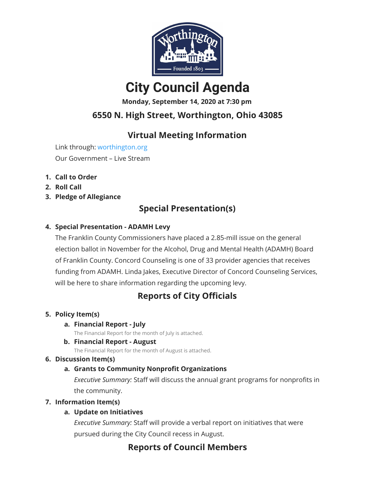

# **City Council Agenda**

**Monday, September 14, 2020 at 7:30 pm**

## **6550 N. High Street, Worthington, Ohio 43085**

## **Virtual Meeting Information**

Link through: [worthington.org](http://worthington.org/) Our Government – Live Stream

- **1. Call to Order**
- **2. Roll Call**
- **3. Pledge of Allegiance**

## **Special Presentation(s)**

### **4. Special Presentation - ADAMH Levy**

The Franklin County Commissioners have placed a 2.85-mill issue on the general election ballot in November for the Alcohol, Drug and Mental Health (ADAMH) Board of Franklin County. Concord Counseling is one of 33 provider agencies that receives funding from ADAMH. Linda Jakes, Executive Director of Concord Counseling Services, will be here to share information regarding the upcoming levy.

## **Reports of City Officials**

### **5. Policy Item(s)**

#### **a. Financial Report - July**

The Financial Report for the month of July is attached.

### **b. Financial Report - August**

The Financial Report for the month of August is attached.

#### **6. Discussion Item(s)**

### **a. Grants to Community Nonprofit Organizations**

*Executive Summary:* Staff will discuss the annual grant programs for nonprofits in the community.

### **7. Information Item(s)**

### **a. Update on Initiatives**

*Executive Summary:* Staff will provide a verbal report on initiatives that were pursued during the City Council recess in August.

## **Reports of Council Members**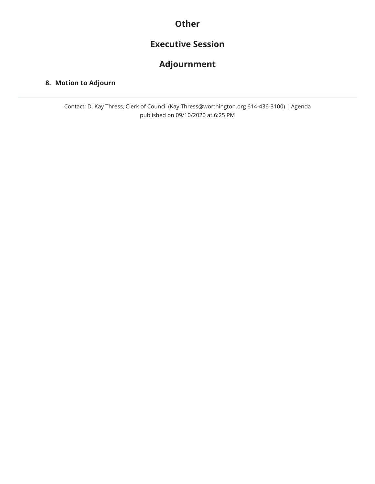## **Other**

## **Executive Session**

## **Adjournment**

#### **8. Motion to Adjourn**

Contact: D. Kay Thress, Clerk of Council (Kay.Thress@worthington.org 614-436-3100) | Agenda published on 09/10/2020 at 6:25 PM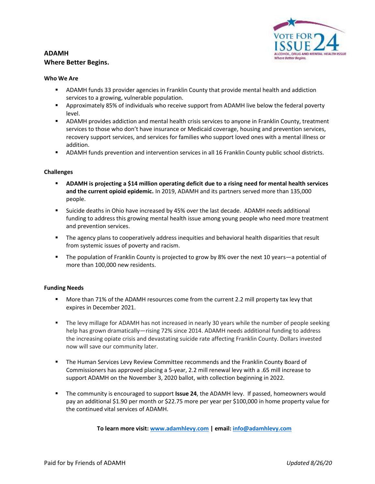#### **ADAMH Where Better Begins.**



#### **Who We Are**

- ADAMH funds 33 provider agencies in Franklin County that provide mental health and addiction services to a growing, vulnerable population.
- **EXEC** Approximately 85% of individuals who receive support from ADAMH live below the federal poverty level.
- **■** ADAMH provides addiction and mental health crisis services to anyone in Franklin County, treatment services to those who don't have insurance or Medicaid coverage, housing and prevention services, recovery support services, and services for families who support loved ones with a mental illness or addition.
- ADAMH funds prevention and intervention services in all 16 Franklin County public school districts.

#### **Challenges**

- **ADAMH is projecting a \$14 million operating deficit due to a rising need for mental health services and the current opioid epidemic.** In 2019, ADAMH and its partners served more than 135,000 people.
- Suicide deaths in Ohio have increased by 45% over the last decade. ADAMH needs additional funding to address this growing mental health issue among young people who need more treatment and prevention services.
- **■** The agency plans to cooperatively address inequities and behavioral health disparities that result from systemic issues of poverty and racism.
- The population of Franklin County is projected to grow by 8% over the next 10 years—a potential of more than 100,000 new residents.

#### **Funding Needs**

- More than 71% of the ADAMH resources come from the current 2.2 mill property tax levy that expires in December 2021.
- The levy millage for ADAMH has not increased in nearly 30 years while the number of people seeking help has grown dramatically—rising 72% since 2014. ADAMH needs additional funding to address the increasing opiate crisis and devastating suicide rate affecting Franklin County. Dollars invested now will save our community later.
- **■** The Human Services Levy Review Committee recommends and the Franklin County Board of Commissioners has approved placing a 5-year, 2.2 mill renewal levy with a .65 mill increase to support ADAMH on the November 3, 2020 ballot, with collection beginning in 2022.
- The community is encouraged to support **Issue 24**, the ADAMH levy. If passed, homeowners would pay an additional \$1.90 per month or \$22.75 more per year per \$100,000 in home property value for the continued vital services of ADAMH.

**To learn more visit: [www.adamhlevy.com](file:///C:/Users/jillk/Documents/ADAMH%202020%20Levy/www.adamhlevy.com) | email: [info@adamhlevy.com](mailto:info@adamhlevy.com?subject=Issue%2024,%20the%20ADAMH%20Levy)**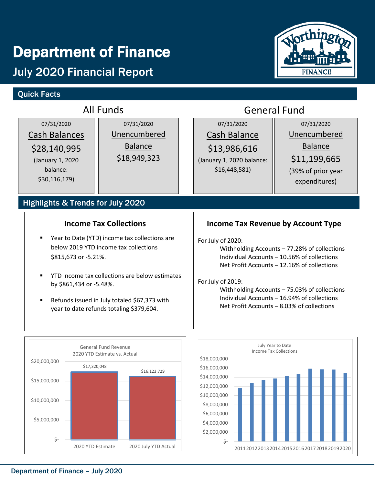# Department of Finance

# July 2020 Financial Report

## Quick Facts



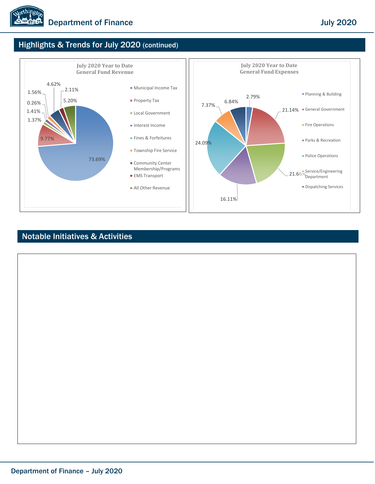

## Highlights & Trends for July 2020 (continued)



### Notable Initiatives & Activities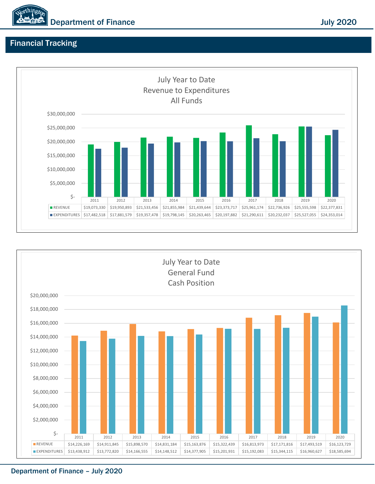

### Financial Tracking





Department of Finance – July 2020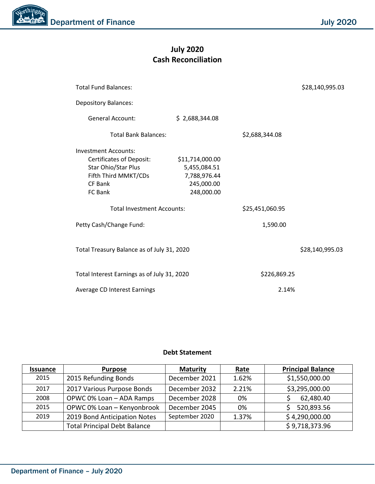## **July 2020 Cash Reconciliation**

| <b>Total Fund Balances:</b>                 |                 |                 | \$28,140,995.03 |
|---------------------------------------------|-----------------|-----------------|-----------------|
| <b>Depository Balances:</b>                 |                 |                 |                 |
| <b>General Account:</b>                     | \$2,688,344.08  |                 |                 |
| <b>Total Bank Balances:</b>                 |                 | \$2,688,344.08  |                 |
| <b>Investment Accounts:</b>                 |                 |                 |                 |
| <b>Certificates of Deposit:</b>             | \$11,714,000.00 |                 |                 |
| Star Ohio/Star Plus                         | 5,455,084.51    |                 |                 |
| Fifth Third MMKT/CDs                        | 7,788,976.44    |                 |                 |
| CF Bank                                     | 245,000.00      |                 |                 |
| FC Bank                                     | 248,000.00      |                 |                 |
| <b>Total Investment Accounts:</b>           |                 | \$25,451,060.95 |                 |
| Petty Cash/Change Fund:                     |                 | 1,590.00        |                 |
| Total Treasury Balance as of July 31, 2020  |                 |                 | \$28,140,995.03 |
| Total Interest Earnings as of July 31, 2020 |                 | \$226,869.25    |                 |
| Average CD Interest Earnings                |                 | 2.14%           |                 |

#### **Debt Statement**

| <b>Issuance</b> | <b>Purpose</b>                      | <b>Maturity</b> | Rate  | <b>Principal Balance</b> |
|-----------------|-------------------------------------|-----------------|-------|--------------------------|
| 2015            | 2015 Refunding Bonds                | December 2021   | 1.62% | \$1,550,000.00           |
| 2017            | 2017 Various Purpose Bonds          | December 2032   | 2.21% | \$3,295,000.00           |
| 2008            | OPWC 0% Loan - ADA Ramps            | December 2028   | 0%    | 62,480.40                |
| 2015            | OPWC 0% Loan - Kenyonbrook          | December 2045   | 0%    | 520,893.56               |
| 2019            | 2019 Bond Anticipation Notes        | September 2020  | 1.37% | \$4,290,000.00           |
|                 | <b>Total Principal Debt Balance</b> |                 |       | \$9,718,373.96           |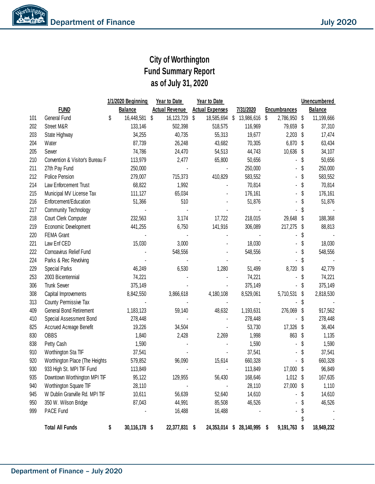## **City of Worthington Fund Summary Report as of July 31, 2020**

|     |                                 | 1/1/2020 Beginning  | <b>Year to Date</b>   | <b>Year to Date</b>    |               |                     |    | Unencumbered   |
|-----|---------------------------------|---------------------|-----------------------|------------------------|---------------|---------------------|----|----------------|
|     | <b>FUND</b>                     | <b>Balance</b>      | <b>Actual Revenue</b> | <b>Actual Expenses</b> | 7/31/2020     | <b>Encumbrances</b> |    | <b>Balance</b> |
| 101 | General Fund                    | \$<br>16,448,581    | \$<br>16, 123, 729    | \$<br>18,585,694 \$    | 13,986,616    | \$<br>2,786,950     | \$ | 11,199,666     |
| 202 | Street M&R                      | 133,146             | 502,398               | 518,575                | 116,969       | 79,659 \$           |    | 37,310         |
| 203 | State Highway                   | 34,255              | 40,735                | 55,313                 | 19,677        | 2,203               | -S | 17,474         |
| 204 | Water                           | 87,739              | 26,248                | 43,682                 | 70,305        | 6,870               | \$ | 63,434         |
| 205 | Sewer                           | 74,786              | 24,470                | 54,513                 | 44,743        | 10,636              | S  | 34,107         |
| 210 | Convention & Visitor's Bureau F | 113,979             | 2,477                 | 65,800                 | 50,656        |                     | \$ | 50,656         |
| 211 | 27th Pay Fund                   | 250,000             |                       |                        | 250,000       |                     | S  | 250,000        |
| 212 | Police Pension                  | 279,007             | 715,373               | 410,829                | 583,552       |                     | S  | 583,552        |
| 214 | Law Enforcement Trust           | 68,822              | 1,992                 |                        | 70,814        |                     | \$ | 70,814         |
| 215 | Municipal MV License Tax        | 111,127             | 65,034                |                        | 176,161       |                     | S  | 176,161        |
| 216 | Enforcement/Education           | 51,366              | 510                   |                        | 51,876        |                     |    | 51,876         |
| 217 | <b>Community Technology</b>     |                     |                       |                        |               |                     |    |                |
| 218 | Court Clerk Computer            | 232,563             | 3,174                 | 17,722                 | 218,015       | 29,648              | \$ | 188,368        |
| 219 | Economic Development            | 441,255             | 6,750                 | 141,916                | 306,089       | 217,275             | -S | 88,813         |
| 220 | FEMA Grant                      |                     |                       |                        |               |                     |    |                |
| 221 | Law Enf CED                     | 15,030              | 3,000                 |                        | 18,030        |                     |    | 18,030         |
| 222 | Cornoavirus Relief Fund         |                     | 548,556               |                        | 548,556       |                     |    | 548,556        |
| 224 | Parks & Rec Revolving           |                     |                       |                        |               |                     |    |                |
| 229 | <b>Special Parks</b>            | 46,249              | 6,530                 | 1,280                  | 51,499        | 8,720               | \$ | 42,779         |
| 253 | 2003 Bicentennial               | 74,221              |                       |                        | 74,221        |                     | S  | 74,221         |
| 306 | <b>Trunk Sewer</b>              | 375,149             |                       |                        | 375,149       |                     | S  | 375,149        |
| 308 | Capital Improvements            | 8,842,550           | 3,866,618             | 4,180,108              | 8,529,061     | 5,710,531           | S  | 2,818,530      |
| 313 | County Permissive Tax           |                     |                       |                        |               |                     | æ. |                |
| 409 | General Bond Retirement         | 1,183,123           | 59,140                | 48,632                 | 1,193,631     | 276,069             | \$ | 917,562        |
| 410 | Special Assessment Bond         | 278,448             |                       |                        | 278,448       |                     | S  | 278,448        |
| 825 | Accrued Acreage Benefit         | 19,226              | 34,504                |                        | 53,730        | 17,326              | S  | 36,404         |
| 830 | <b>OBBS</b>                     | 1,840               | 2,428                 | 2,269                  | 1,998         | 863                 | S  | 1,135          |
| 838 | Petty Cash                      | 1,590               |                       |                        | 1,590         |                     | S  | 1,590          |
| 910 | Worthington Sta TIF             | 37,541              |                       |                        | 37,541        |                     |    | 37,541         |
| 920 | Worthington Place (The Heights  | 579,852             | 96,090                | 15,614                 | 660,328       |                     |    | 660,328        |
| 930 | 933 High St. MPI TIF Fund       | 113,849             |                       |                        | 113,849       | 17,000              | \$ | 96,849         |
| 935 | Downtown Worthington MPI TIF    | 95,122              | 129,955               | 56,430                 | 168,646       | $1,012$ \$          |    | 167,635        |
| 940 | Worthington Square TIF          | 28,110              |                       |                        | 28,110        | 27,000 \$           |    | 1,110          |
| 945 | W Dublin Granville Rd. MPI TIF  | 10,611              | 56,639                | 52,640                 | 14,610        |                     | \$ | 14,610         |
| 950 | 350 W. Wilson Bridge            | 87,043              | 44,991                | 85,508                 | 46,526        |                     | \$ | 46,526         |
| 999 | PACE Fund                       |                     | 16,488                | 16,488                 |               |                     | \$ |                |
|     |                                 |                     |                       |                        |               |                     | \$ |                |
|     | <b>Total All Funds</b>          | \$<br>30,116,178 \$ | 22,377,831 \$         | 24,353,014 \$          | 28,140,995 \$ | 9,191,763 \$        |    | 18,949,232     |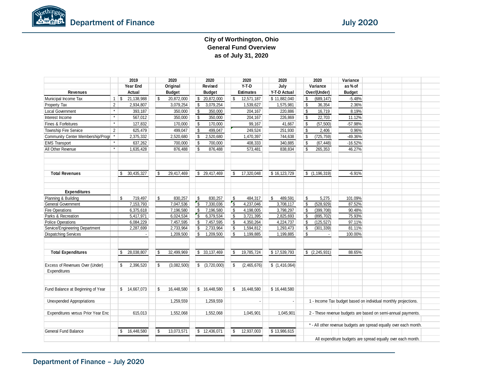#### **City of Worthington, Ohio General Fund Overview as of July 31, 2020**

|                                    |                | 2019                     | 2020              |                    | 2020          |            | 2020             | 2020          |                           | 2020            | Variance                                                          |  |  |
|------------------------------------|----------------|--------------------------|-------------------|--------------------|---------------|------------|------------------|---------------|---------------------------|-----------------|-------------------------------------------------------------------|--|--|
|                                    |                | Year End                 | Original          |                    | Revised       |            | Y-T-D            | July          |                           | Variance        | as% of                                                            |  |  |
| <b>Revenues</b>                    |                | Actual                   | <b>Budget</b>     |                    | <b>Budget</b> |            | <b>Estimates</b> | Y-T-D Actual  |                           | Over/(Under)    | <b>Budget</b>                                                     |  |  |
| Municipal Income Tax               | $\mathbf{1}$   | 21,138,988<br>$\vert$ \$ | \$<br>20,872,000  | \$                 | 20,872,000    | \$         | 12,571,187       | \$11,882,040  | \$                        | (689, 147)      | $-5.48%$                                                          |  |  |
| Property Tax                       | $\overline{2}$ | 2,934,807                | 3,079,254         | $\sqrt[6]{3}$      | 3,079,254     |            | 1,539,627        | 1,575,981     | $\boldsymbol{\mathsf{s}}$ | 36,354          | 2.36%                                                             |  |  |
| Local Government                   | $\star$        | 393,187                  | 350,000           | $\mathbf{\hat{s}}$ | 350,000       |            | 204,167          | 220,886       | $\sqrt{2}$                | 16,719          | 8.19%                                                             |  |  |
| Interest Income                    | $\star$        | 567,012                  | 350,000           | l \$               | 350,000       |            | 204,167          | 226,869       | \$                        | 22,703          | 11.12%                                                            |  |  |
| Fines & Forfeitures                | $\star$        | 127,832                  | 170,000           | <b>S</b>           | 170,000       |            | 99,167           | 41,667        | \$                        | (57, 500)       | $-57.98%$                                                         |  |  |
| Township Fire Service              | $\overline{2}$ | 625,479                  | 499,047           | S.                 | 499,047       |            | 249,524          | 251,930       | -\$                       | 2,406           | 0.96%                                                             |  |  |
| Community Center Membership/Progr  |                | 2,375,332                | 2,520,680         | \$                 | 2,520,680     |            | 1,470,397        | 744,638       | -S                        | (725, 759)      | -49.36%                                                           |  |  |
| <b>EMS Transport</b>               |                | 637,262                  | 700,000           | l \$               | 700,000       |            | 408,333          | 340,885       | \$                        | (67, 448)       | $-16.52%$                                                         |  |  |
| All Other Revenue                  | $\star$        | 1,635,428                | 876,488           | S.                 | 876,488       |            | 573,481          | 838,834       | \$                        | 265,353         | 46.27%                                                            |  |  |
|                                    |                |                          |                   |                    |               |            |                  |               |                           |                 |                                                                   |  |  |
| <b>Total Revenues</b>              |                | 30,435,327<br>\$         | \$<br>29,417,469  |                    | \$29,417,469  | \$         | 17,320,048       | \$16,123,729  |                           | \$(1, 196, 319) | $-6.91%$                                                          |  |  |
| <b>Expenditures</b>                |                |                          |                   |                    |               |            |                  |               |                           |                 |                                                                   |  |  |
| Planning & Building                |                | 719,497<br>\$            | \$<br>830,257     | \$                 | 830,257       | \$         | 484,317          | \$<br>489,591 | \$                        | 5,275           | 101.09%                                                           |  |  |
| <b>General Government</b>          |                | 7,153,793                | 7,047,536         | $\mathsf{S}$       | 7,330,036     | $\sqrt{3}$ | 4,237,046        | 3,708,117     | \$                        | (528, 929)      | 87.52%                                                            |  |  |
| <b>Fire Operations</b>             |                | 6,375,618                | 7,196,580         | S.                 | 7,196,580     | \$         | 4,198,005        | 3,798,297     | -\$                       | (399, 708)      | 90.48%                                                            |  |  |
| Parks & Recreation                 |                | 5,417,971                | 6,024,534         | $\sqrt{3}$         | 6,379,534     | \$         | 3,721,395        | 2,825,693     | \$                        | (895, 702)      | 75.93%                                                            |  |  |
| <b>Police Operations</b>           |                | 6,084,229                | 7,457,595         | \$                 | 7,457,595     | \$         | 4,350,264        | 4,224,737     | -\$                       | (125, 527)      | 97.11%                                                            |  |  |
| Service/Engineering Department     |                | 2,287,699                | 2,733,964         | $\mathbf{\hat{s}}$ | 2,733,964     | \$         | 1,594,812        | 1,293,473     | -\$                       | (301, 339)      | 81.11%                                                            |  |  |
| <b>Dispatching Services</b>        |                |                          | 1,209,500         | \$                 | 1,209,500     | \$         | 1,199,885        | 1,199,885     | \$                        | $\blacksquare$  | 100.00%                                                           |  |  |
| <b>Total Expenditures</b>          |                | 28,038,807<br>\$         | \$<br>32,499,969  |                    | \$33,137,469  | \$         | 19,785,724       | \$17,539,793  |                           | (2,245,931)     | 88.65%                                                            |  |  |
|                                    |                |                          |                   |                    |               |            |                  |               |                           |                 |                                                                   |  |  |
| Excess of Revenues Over (Under)    |                | 2,396,520<br>\$          | \$<br>(3,082,500) |                    | (3,720,000)   | \$         | (2,465,676)      | \$(1,416,064) |                           |                 |                                                                   |  |  |
| Expenditures                       |                |                          |                   |                    |               |            |                  |               |                           |                 |                                                                   |  |  |
| Fund Balance at Beginning of Year  |                | \$14,667,073             | \$<br>16,448,580  |                    | \$ 16,448,580 | \$         | 16,448,580       | \$16,448,580  |                           |                 |                                                                   |  |  |
| <b>Unexpended Appropriations</b>   |                |                          | 1,259,559         |                    | 1,259,559     |            |                  |               |                           |                 | 1 - Income Tax budget based on individual monthly projections.    |  |  |
|                                    |                |                          |                   |                    |               |            |                  |               |                           |                 |                                                                   |  |  |
| Expenditures versus Prior Year Enc |                | 615,013                  | 1,552,068         |                    | 1,552,068     |            | 1,045,901        | 1,045,901     |                           |                 | 2 - These revenue budgets are based on semi-annual payments.      |  |  |
|                                    |                |                          |                   |                    |               |            |                  |               |                           |                 | * - All other revenue budgets are spread equally over each month. |  |  |
| <b>General Fund Balance</b>        |                | 16,448,580<br>\$         | \$<br>13,073,571  |                    | \$12,436,071  | \$         | 12,937,003       | \$13,986,615  |                           |                 |                                                                   |  |  |
|                                    |                |                          |                   |                    |               |            |                  |               |                           |                 | All expenditure budgets are spread equally over each month.       |  |  |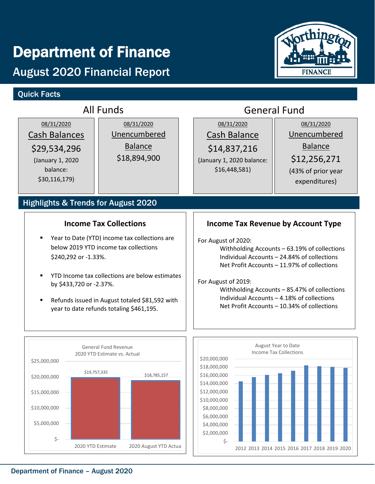# Department of Finance

## August 2020 Financial Report

## Quick Facts



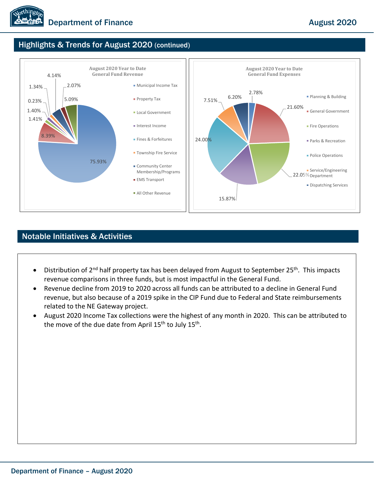

## Highlights & Trends for August 2020 (continued)



#### Notable Initiatives & Activities

- Distribution of 2<sup>nd</sup> half property tax has been delayed from August to September 25<sup>th</sup>. This impacts revenue comparisons in three funds, but is most impactful in the General Fund.
- Revenue decline from 2019 to 2020 across all funds can be attributed to a decline in General Fund revenue, but also because of a 2019 spike in the CIP Fund due to Federal and State reimbursements related to the NE Gateway project.
- August 2020 Income Tax collections were the highest of any month in 2020. This can be attributed to the move of the due date from April 15<sup>th</sup> to July 15<sup>th</sup>.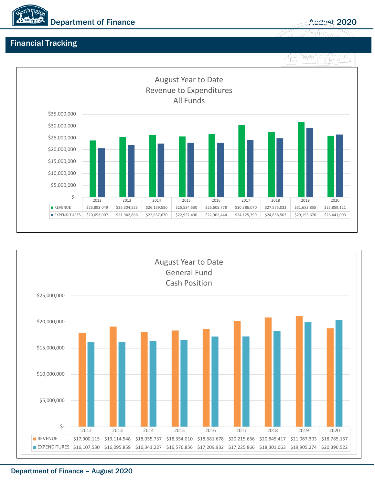

## Financial Tracking





#### Department of Finance – August 2020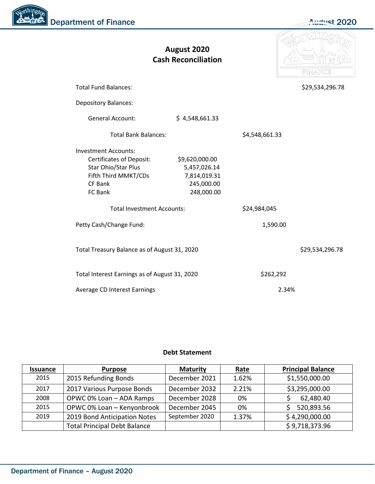Northingto Department of Finance August 2020

|                                                                                                                                     | August 2020<br><b>Cash Reconciliation</b>                                  |                | FINANCE         |
|-------------------------------------------------------------------------------------------------------------------------------------|----------------------------------------------------------------------------|----------------|-----------------|
| <b>Total Fund Balances:</b>                                                                                                         |                                                                            |                | \$29,534,296.78 |
| <b>Depository Balances:</b>                                                                                                         |                                                                            |                |                 |
| <b>General Account:</b>                                                                                                             | \$4,548,661.33                                                             |                |                 |
| <b>Total Bank Balances:</b>                                                                                                         |                                                                            | \$4,548,661.33 |                 |
| <b>Investment Accounts:</b><br><b>Certificates of Deposit:</b><br>Star Ohio/Star Plus<br>Fifth Third MMKT/CDs<br>CF Bank<br>FC Bank | \$9,620,000.00<br>5,457,026.14<br>7,814,019.31<br>245,000.00<br>248,000.00 |                |                 |
| <b>Total Investment Accounts:</b>                                                                                                   |                                                                            | \$24,984,045   |                 |
| Petty Cash/Change Fund:                                                                                                             |                                                                            | 1,590.00       |                 |
| Total Treasury Balance as of August 31, 2020                                                                                        |                                                                            |                | \$29,534,296.78 |
| Total Interest Earnings as of August 31, 2020                                                                                       |                                                                            | \$262,292      |                 |
| Average CD Interest Earnings                                                                                                        |                                                                            | 2.34%          |                 |

#### **Debt Statement**

| <b>Issuance</b> | <b>Purpose</b>                      | <b>Maturity</b> | <u>Rate</u> | <b>Principal Balance</b> |
|-----------------|-------------------------------------|-----------------|-------------|--------------------------|
| 2015            | 2015 Refunding Bonds                | December 2021   | 1.62%       | \$1,550,000.00           |
| 2017            | 2017 Various Purpose Bonds          | December 2032   | 2.21%       | \$3,295,000.00           |
| 2008            | OPWC 0% Loan - ADA Ramps            | December 2028   | 0%          | 62,480.40                |
| 2015            | OPWC 0% Loan - Kenyonbrook          | December 2045   | 0%          | 520,893.56               |
| 2019            | 2019 Bond Anticipation Notes        | September 2020  | 1.37%       | \$4,290,000.00           |
|                 | <b>Total Principal Debt Balance</b> |                 |             | \$9,718,373.96           |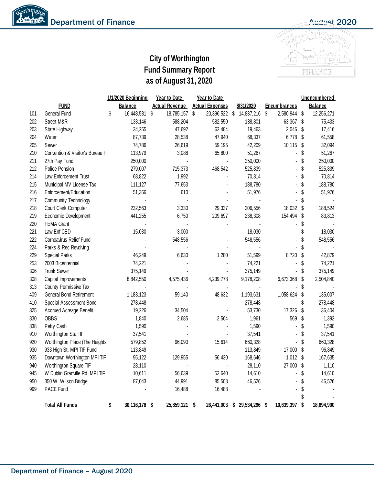

## **City of Worthington Fund Summary Report as of August 31, 2020**

|     |                                 | 1/1/2020 Beginning  | <b>Year to Date</b>   | <b>Year to Date</b>    |                     |                     |    | Unencumbered   |
|-----|---------------------------------|---------------------|-----------------------|------------------------|---------------------|---------------------|----|----------------|
|     | <b>FUND</b>                     | <b>Balance</b>      | <b>Actual Revenue</b> | <b>Actual Expenses</b> | 8/31/2020           | <b>Encumbrances</b> |    | <b>Balance</b> |
| 101 | General Fund                    | \$<br>16,448,581    | \$<br>18,785,157      | \$<br>20,396,522 \$    | 14,837,216 \$       | 2,580,944           | \$ | 12,256,271     |
| 202 | Street M&R                      | 133,146             | 588,204               | 582,550                | 138,801             | 63,367              | \$ | 75,433         |
| 203 | State Highway                   | 34,255              | 47,692                | 62,484                 | 19,463              | 2,046               | \$ | 17,416         |
| 204 | Water                           | 87,739              | 28,538                | 47,940                 | 68,337              | 6,778               | \$ | 61,558         |
| 205 | Sewer                           | 74,786              | 26,619                | 59,195                 | 42,209              | 10,115              | \$ | 32,094         |
| 210 | Convention & Visitor's Bureau F | 113,979             | 3,088                 | 65,800                 | 51,267              |                     | \$ | 51,267         |
| 211 | 27th Pay Fund                   | 250,000             |                       |                        | 250,000             |                     | \$ | 250,000        |
| 212 | <b>Police Pension</b>           | 279,007             | 715,373               | 468,542                | 525,839             |                     | \$ | 525,839        |
| 214 | Law Enforcement Trust           | 68,822              | 1,992                 |                        | 70,814              |                     | \$ | 70,814         |
| 215 | Municipal MV License Tax        | 111,127             | 77,653                |                        | 188,780             |                     | \$ | 188,780        |
| 216 | Enforcement/Education           | 51,366              | 610                   |                        | 51,976              |                     | \$ | 51,976         |
| 217 | Community Technology            |                     |                       |                        |                     |                     | \$ |                |
| 218 | Court Clerk Computer            | 232,563             | 3,330                 | 29,337                 | 206,556             | 18,032              | \$ | 188,524        |
| 219 | Economic Development            | 441,255             | 6,750                 | 209,697                | 238,308             | 154,494             | \$ | 83,813         |
| 220 | FEMA Grant                      |                     |                       |                        |                     |                     | \$ |                |
| 221 | Law Enf CED                     | 15,030              | 3,000                 |                        | 18,030              |                     | \$ | 18,030         |
| 222 | Cornoavirus Relief Fund         |                     | 548,556               |                        | 548,556             |                     | \$ | 548,556        |
| 224 | Parks & Rec Revolving           |                     |                       |                        |                     |                     | S  |                |
| 229 | <b>Special Parks</b>            | 46,249              | 6,630                 | 1,280                  | 51,599              | 8,720               | \$ | 42,879         |
| 253 | 2003 Bicentennial               | 74,221              |                       |                        | 74,221              |                     | \$ | 74,221         |
| 306 | <b>Trunk Sewer</b>              | 375,149             |                       |                        | 375,149             |                     | \$ | 375,149        |
| 308 | Capital Improvements            | 8,842,550           | 4,575,436             | 4,239,778              | 9,178,208           | 6,673,368           | \$ | 2,504,840      |
| 313 | County Permissive Tax           |                     |                       |                        |                     |                     | \$ |                |
| 409 | General Bond Retirement         | 1,183,123           | 59,140                | 48,632                 | 1,193,631           | 1,058,624           | \$ | 135,007        |
| 410 | Special Assessment Bond         | 278,448             |                       |                        | 278,448             |                     | \$ | 278,448        |
| 825 | Accrued Acreage Benefit         | 19,226              | 34,504                |                        | 53,730              | 17,326              | \$ | 36,404         |
| 830 | <b>OBBS</b>                     | 1,840               | 2,685                 | 2,564                  | 1,961               | 569                 | \$ | 1,392          |
| 838 | Petty Cash                      | 1,590               |                       |                        | 1,590               |                     | \$ | 1,590          |
| 910 | Worthington Sta TIF             | 37,541              |                       |                        | 37,541              |                     | \$ | 37,541         |
| 920 | Worthington Place (The Heights  | 579,852             | 96,090                | 15,614                 | 660,328             |                     | \$ | 660,328        |
| 930 | 933 High St. MPI TIF Fund       | 113,849             |                       |                        | 113,849             | 17,000              | \$ | 96,849         |
| 935 | Downtown Worthington MPI TIF    | 95,122              | 129,955               | 56,430                 | 168,646             | 1,012               | \$ | 167,635        |
| 940 | Worthington Square TIF          | 28,110              |                       |                        | 28,110              | 27,000              | \$ | 1,110          |
| 945 | W Dublin Granville Rd. MPI TIF  | 10,611              | 56,639                | 52,640                 | 14,610              |                     | \$ | 14,610         |
| 950 | 350 W. Wilson Bridge            | 87,043              | 44,991                | 85,508                 | 46,526              |                     | \$ | 46,526         |
| 999 | PACE Fund                       |                     | 16,488                | 16,488                 |                     |                     |    |                |
|     |                                 |                     |                       |                        |                     |                     |    |                |
|     | <b>Total All Funds</b>          | \$<br>30,116,178 \$ | 25,859,121 \$         | 26,441,003             | \$<br>29,534,296 \$ | 10,639,397          | \$ | 18,894,900     |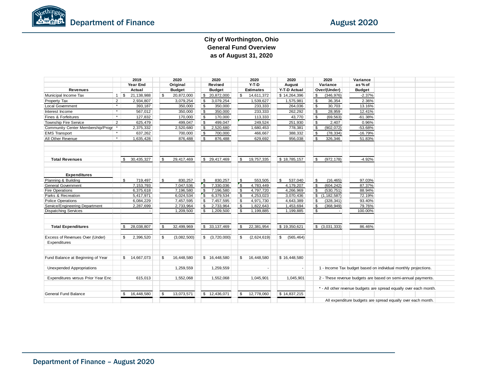#### **City of Worthington, Ohio General Fund Overview as of August 31, 2020**

|                                    |         | 2019                        | 2020              |              | 2020           |                    | 2020             | 2020                      | 2020             | Variance                                                          |  |  |
|------------------------------------|---------|-----------------------------|-------------------|--------------|----------------|--------------------|------------------|---------------------------|------------------|-------------------------------------------------------------------|--|--|
|                                    |         | Year End                    | Original          |              | Revised        |                    | $Y-T-D$          | August                    | Variance         | as% of                                                            |  |  |
| <b>Revenues</b>                    |         | Actual                      | <b>Budget</b>     |              | <b>Budget</b>  |                    | <b>Estimates</b> | Y-T-D Actual              | Over/(Under)     | <b>Budget</b>                                                     |  |  |
| Municipal Income Tax               |         | $1 \mid$ \$<br>21,138,988   | \$<br>20,872,000  |              | \$ 20,872,000  | \$                 | 14,611,372       | \$14,264,396              | \$<br>(346, 976) | $-2.37%$                                                          |  |  |
| Property Tax                       | 2       | 2,934,807                   | 3,079,254         | S.           | 3,079,254      |                    | 1,539,627        | 1,575,981                 | \$<br>36,354     | 2.36%                                                             |  |  |
| Local Government                   | $\star$ | 393,187                     | 350,000           | S.           | 350,000        |                    | 233,333          | 264,036                   | \$<br>30,703     | 13.16%                                                            |  |  |
| Interest Income                    | $\star$ | 567,012                     | 350,000           | l \$         | 350,000        |                    | 233,333          | 262,292                   | \$<br>28,959     | 12.41%                                                            |  |  |
| Fines & Forfeitures                | $\star$ | 127,832                     | 170,000           | <b>S</b>     | 170.000        |                    | 113,333          | 43,770                    | \$<br>(69, 563)  | $-61.38%$                                                         |  |  |
| Township Fire Service              | 2       | 625,479                     | 499,047           | \$           | 499,047        |                    | 249,524          | 251,930                   | \$<br>2,407      | 0.96%                                                             |  |  |
| Community Center Membership/Progr  |         | 2,375,332                   | 2,520,680         | \$           | 2,520,680      |                    | 1,680,453        | 778,381                   | \$<br>(902, 072) | $-53.68%$                                                         |  |  |
| <b>EMS</b> Transport               | $\star$ | 637,262                     | 700,000           | <b>S</b>     | 700,000        |                    | 466,667          | 388,332                   | \$<br>(78, 334)  | $-16.79%$                                                         |  |  |
| All Other Revenue                  | $\star$ | 1,635,428                   | 876,488           | \$           | 876,488        |                    | 629,692          | 956,038                   | \$<br>326,346    | 51.83%                                                            |  |  |
|                                    |         |                             |                   |              |                |                    |                  |                           |                  |                                                                   |  |  |
| <b>Total Revenues</b>              |         | 30,435,327<br>\$            | \$<br>29,417,469  |              | \$ 29,417,469  | \$                 | 19,757,335       | \$18,785,157              | \$<br>(972, 178) | $-4.92%$                                                          |  |  |
| <b>Expenditures</b>                |         |                             |                   |              |                |                    |                  |                           |                  |                                                                   |  |  |
| Planning & Building                |         | $\mathfrak{L}$<br>719,497   | \$<br>830,257     | Ŝ.           | 830,257        | S.                 | 553,505          | $\mathfrak{L}$<br>537,040 | \$<br>(16, 465)  | 97.03%                                                            |  |  |
| <b>General Government</b>          |         | 7,153,793                   | 7,047,536         | $\mathsf{s}$ | 7,330,036      | $\mathsf{s}$       | 4,783,449        | 4,179,207                 | \$<br>(604, 242) | 87.37%                                                            |  |  |
| <b>Fire Operations</b>             |         | 6,375,618                   | 7,196,580         | \$           | 7,196,580      | $\mathbf{\hat{s}}$ | 4,797,720        | 4,266,969                 | \$<br>(530, 751) | 88.94%                                                            |  |  |
| Parks & Recreation                 |         | 5,417,971                   | 6,024,534         | $\mathbf{s}$ | 6,379,534      | $\sqrt{3}$         | 4,253,023        | 3,070,436                 | $$$ (1,182,587)  | 72.19%                                                            |  |  |
| <b>Police Operations</b>           |         | 6,084,229                   | 7,457,595         | \$           | 7,457,595      | \$                 | 4,971,730        | 4,643,389                 | \$<br>(328, 341) | 93.40%                                                            |  |  |
| Service/Engineering Department     |         | 2,287,699                   | 2,733,964         | \$           | 2,733,964      | $\mathbb S$        | 1,822,643        | 1,453,694                 | \$<br>(368, 949) | 79.76%                                                            |  |  |
| <b>Dispatching Services</b>        |         |                             | 1,209,500         | \$           | 1,209,500      | \$                 | 1,199,885        | 1,199,885                 | \$               | 100.00%                                                           |  |  |
| <b>Total Expenditures</b>          |         | \$<br>28,038,807            | \$<br>32,499,969  |              | \$33,137,469   | \$                 | 22,381,954       | \$19,350,621              | \$ (3,031,333)   | 86.46%                                                            |  |  |
| Excess of Revenues Over (Under)    |         | 2,396,520<br>\$             | \$<br>(3,082,500) |              | \$ (3,720,000) | \$                 | (2,624,619)      | (565, 464)<br>\$          |                  |                                                                   |  |  |
| Expenditures                       |         |                             |                   |              |                |                    |                  |                           |                  |                                                                   |  |  |
| Fund Balance at Beginning of Year  |         | \$14,667,073                | \$<br>16,448,580  |              | \$16,448,580   | \$                 | 16,448,580       | \$16,448,580              |                  |                                                                   |  |  |
| <b>Unexpended Appropriations</b>   |         |                             | 1,259,559         |              | 1,259,559      |                    | $\blacksquare$   | $\sim$                    |                  | 1 - Income Tax budget based on individual monthly projections.    |  |  |
| Expenditures versus Prior Year Enc |         | 615,013                     | 1,552,068         |              | 1,552,068      |                    | 1,045,901        | 1,045,901                 |                  | 2 - These revenue budgets are based on semi-annual payments.      |  |  |
|                                    |         |                             |                   |              |                |                    |                  |                           |                  | * - All other revenue budgets are spread equally over each month. |  |  |
| General Fund Balance               |         | 16,448,580<br>$\mathbf{\$}$ | \$<br>13,073,571  |              | \$12,436,071   | \$                 | 12,778,060       | \$14,837,215              |                  |                                                                   |  |  |
|                                    |         |                             |                   |              |                |                    |                  |                           |                  | All expenditure budgets are spread equally over each month.       |  |  |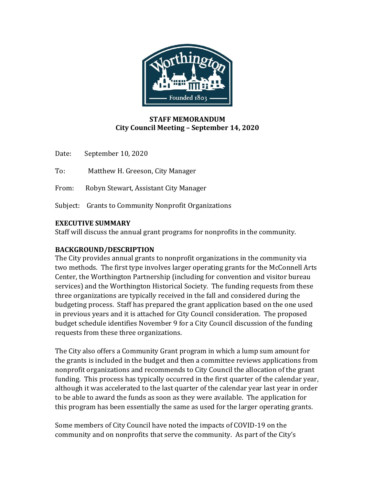

#### **STAFF MEMORANDUM City Council Meeting – September 14, 2020**

Date: September 10, 2020

To: Matthew H. Greeson, City Manager

From: Robyn Stewart, Assistant City Manager

Subject: Grants to Community Nonprofit Organizations

#### **EXECUTIVE SUMMARY**

Staff will discuss the annual grant programs for nonprofits in the community.

#### **BACKGROUND/DESCRIPTION**

The City provides annual grants to nonprofit organizations in the community via two methods. The first type involves larger operating grants for the McConnell Arts Center, the Worthington Partnership (including for convention and visitor bureau services) and the Worthington Historical Society. The funding requests from these three organizations are typically received in the fall and considered during the budgeting process. Staff has prepared the grant application based on the one used in previous years and it is attached for City Council consideration. The proposed budget schedule identifies November 9 for a City Council discussion of the funding requests from these three organizations.

The City also offers a Community Grant program in which a lump sum amount for the grants is included in the budget and then a committee reviews applications from nonprofit organizations and recommends to City Council the allocation of the grant funding. This process has typically occurred in the first quarter of the calendar year, although it was accelerated to the last quarter of the calendar year last year in order to be able to award the funds as soon as they were available. The application for this program has been essentially the same as used for the larger operating grants.

Some members of City Council have noted the impacts of COVID-19 on the community and on nonprofits that serve the community. As part of the City's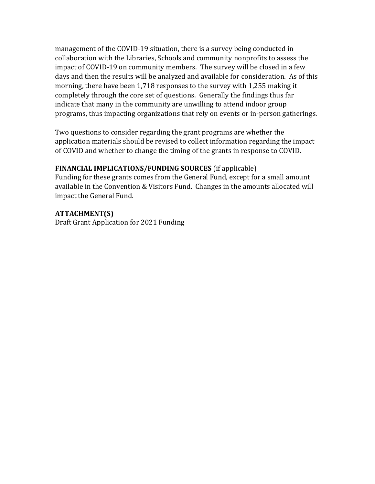management of the COVID-19 situation, there is a survey being conducted in collaboration with the Libraries, Schools and community nonprofits to assess the impact of COVID-19 on community members. The survey will be closed in a few days and then the results will be analyzed and available for consideration. As of this morning, there have been 1,718 responses to the survey with 1,255 making it completely through the core set of questions. Generally the findings thus far indicate that many in the community are unwilling to attend indoor group programs, thus impacting organizations that rely on events or in-person gatherings.

Two questions to consider regarding the grant programs are whether the application materials should be revised to collect information regarding the impact of COVID and whether to change the timing of the grants in response to COVID.

#### **FINANCIAL IMPLICATIONS/FUNDING SOURCES** (if applicable)

Funding for these grants comes from the General Fund, except for a small amount available in the Convention & Visitors Fund. Changes in the amounts allocated will impact the General Fund.

**ATTACHMENT(S)** Draft Grant Application for 2021 Funding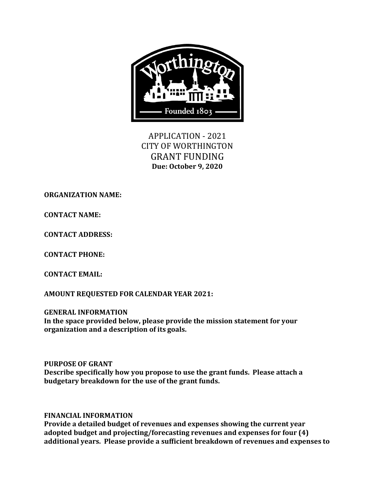

APPLICATION - 2021 CITY OF WORTHINGTON GRANT FUNDING **Due: October 9, 2020**

**ORGANIZATION NAME:** 

**CONTACT NAME:**

**CONTACT ADDRESS:**

**CONTACT PHONE:**

**CONTACT EMAIL:**

**AMOUNT REQUESTED FOR CALENDAR YEAR 2021:**

**GENERAL INFORMATION In the space provided below, please provide the mission statement for your organization and a description of its goals.**

**PURPOSE OF GRANT Describe specifically how you propose to use the grant funds. Please attach a budgetary breakdown for the use of the grant funds.**

**FINANCIAL INFORMATION**

**Provide a detailed budget of revenues and expenses showing the current year adopted budget and projecting/forecasting revenues and expenses for four (4) additional years. Please provide a sufficient breakdown of revenues and expenses to**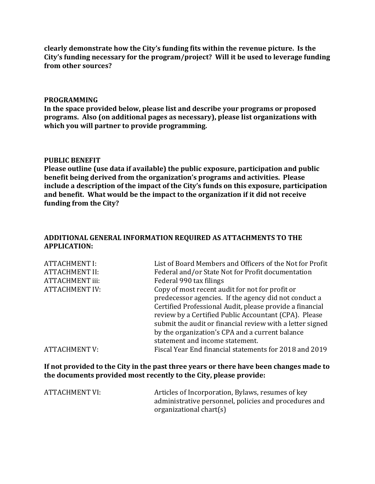**clearly demonstrate how the City's funding fits within the revenue picture. Is the City's funding necessary for the program/project? Will it be used to leverage funding from other sources?**

#### **PROGRAMMING**

**In the space provided below, please list and describe your programs or proposed programs. Also (on additional pages as necessary), please list organizations with which you will partner to provide programming.**

#### **PUBLIC BENEFIT**

**Please outline (use data if available) the public exposure, participation and public benefit being derived from the organization's programs and activities. Please include a description of the impact of the City's funds on this exposure, participation and benefit. What would be the impact to the organization if it did not receive funding from the City?**

#### **ADDITIONAL GENERAL INFORMATION REQUIRED AS ATTACHMENTS TO THE APPLICATION:**

| <b>ATTACHMENT I:</b>   | List of Board Members and Officers of the Not for Profit  |
|------------------------|-----------------------------------------------------------|
|                        |                                                           |
| <b>ATTACHMENT II:</b>  | Federal and/or State Not for Profit documentation         |
| <b>ATTACHMENT iii:</b> | Federal 990 tax filings                                   |
| <b>ATTACHMENT IV:</b>  | Copy of most recent audit for not for profit or           |
|                        | predecessor agencies. If the agency did not conduct a     |
|                        | Certified Professional Audit, please provide a financial  |
|                        | review by a Certified Public Accountant (CPA). Please     |
|                        | submit the audit or financial review with a letter signed |
|                        | by the organization's CPA and a current balance           |
|                        | statement and income statement.                           |
| <b>ATTACHMENT V:</b>   | Fiscal Year End financial statements for 2018 and 2019    |

**If not provided to the City in the past three years or there have been changes made to the documents provided most recently to the City, please provide:**

| ATTACHMENT VI: | Articles of Incorporation, Bylaws, resumes of key     |
|----------------|-------------------------------------------------------|
|                | administrative personnel, policies and procedures and |
|                | organizational chart(s)                               |